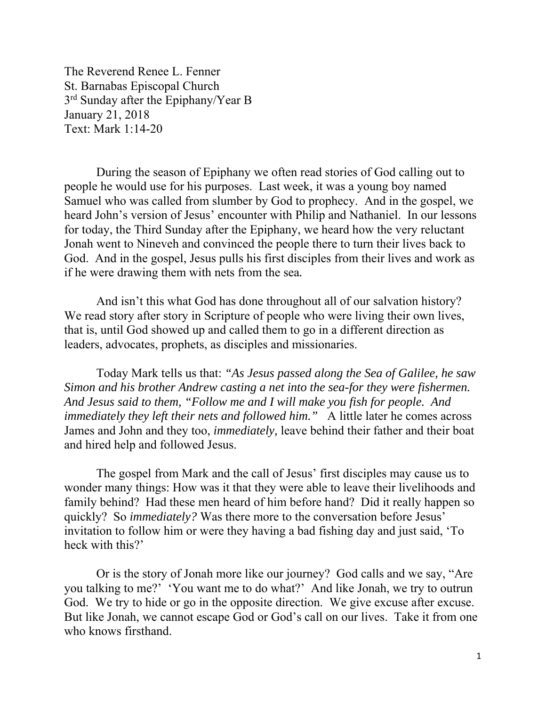The Reverend Renee L. Fenner St. Barnabas Episcopal Church 3<sup>rd</sup> Sunday after the Epiphany/Year B January 21, 2018 Text: Mark 1:14-20

During the season of Epiphany we often read stories of God calling out to people he would use for his purposes. Last week, it was a young boy named Samuel who was called from slumber by God to prophecy. And in the gospel, we heard John's version of Jesus' encounter with Philip and Nathaniel. In our lessons for today, the Third Sunday after the Epiphany, we heard how the very reluctant Jonah went to Nineveh and convinced the people there to turn their lives back to God. And in the gospel, Jesus pulls his first disciples from their lives and work as if he were drawing them with nets from the sea*.* 

And isn't this what God has done throughout all of our salvation history? We read story after story in Scripture of people who were living their own lives, that is, until God showed up and called them to go in a different direction as leaders, advocates, prophets, as disciples and missionaries.

Today Mark tells us that: *"As Jesus passed along the Sea of Galilee, he saw Simon and his brother Andrew casting a net into the sea-for they were fishermen. And Jesus said to them, "Follow me and I will make you fish for people. And immediately they left their nets and followed him."* A little later he comes across James and John and they too, *immediately,* leave behind their father and their boat and hired help and followed Jesus.

The gospel from Mark and the call of Jesus' first disciples may cause us to wonder many things: How was it that they were able to leave their livelihoods and family behind? Had these men heard of him before hand? Did it really happen so quickly? So *immediately?* Was there more to the conversation before Jesus' invitation to follow him or were they having a bad fishing day and just said, 'To heck with this?'

Or is the story of Jonah more like our journey? God calls and we say, "Are you talking to me?' 'You want me to do what?' And like Jonah, we try to outrun God. We try to hide or go in the opposite direction. We give excuse after excuse. But like Jonah, we cannot escape God or God's call on our lives. Take it from one who knows firsthand.